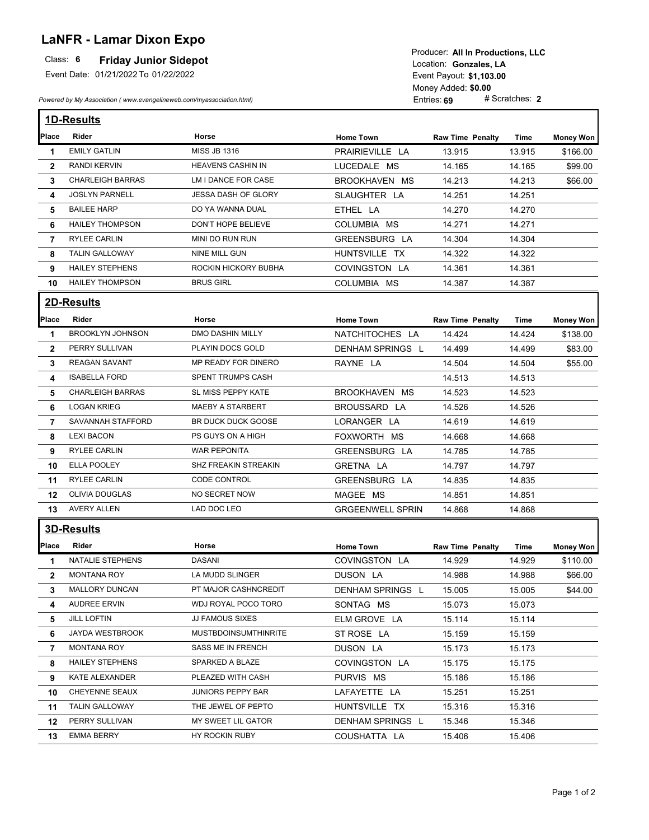# **LaNFR - Lamar Dixon Expo**

#### **Friday Junior Sidepot**

Event Date: 01/21/2022 To 01/22/2022

*Powered by My Association ( www.evangelineweb.com/myassociation.html)* 

Event Payout: \$1,103.00 Entries: **69** Money Added: **\$0.00**<br>Entries: **69** # Scratches: 2 Location: Gonzales, LA Producer: **All In Productions, LLC**

|                | <b>1D-Results</b>       |                             |                         |                         |             |                  |  |  |
|----------------|-------------------------|-----------------------------|-------------------------|-------------------------|-------------|------------------|--|--|
| Place          | Rider                   | Horse                       | <b>Home Town</b>        | <b>Raw Time Penalty</b> | <b>Time</b> | Money Won        |  |  |
| 1              | <b>EMILY GATLIN</b>     | <b>MISS JB 1316</b>         | PRAIRIEVILLE LA         | 13.915                  | 13.915      | \$166.00         |  |  |
| $\mathbf{2}$   | <b>RANDI KERVIN</b>     | <b>HEAVENS CASHIN IN</b>    | LUCEDALE MS             | 14.165                  | 14.165      | \$99.00          |  |  |
| 3              | <b>CHARLEIGH BARRAS</b> | LM I DANCE FOR CASE         | BROOKHAVEN MS           | 14.213                  | 14.213      | \$66.00          |  |  |
| 4              | <b>JOSLYN PARNELL</b>   | <b>JESSA DASH OF GLORY</b>  | SLAUGHTER LA            | 14.251                  | 14.251      |                  |  |  |
| 5              | <b>BAILEE HARP</b>      | DO YA WANNA DUAL            | ETHEL LA                | 14.270                  | 14.270      |                  |  |  |
| 6              | <b>HAILEY THOMPSON</b>  | DON'T HOPE BELIEVE          | COLUMBIA MS             | 14.271                  | 14.271      |                  |  |  |
| $\overline{7}$ | <b>RYLEE CARLIN</b>     | MINI DO RUN RUN             | GREENSBURG LA           | 14.304                  | 14.304      |                  |  |  |
| 8              | <b>TALIN GALLOWAY</b>   | NINE MILL GUN               | HUNTSVILLE TX           | 14.322                  | 14.322      |                  |  |  |
| 9              | <b>HAILEY STEPHENS</b>  | ROCKIN HICKORY BUBHA        | COVINGSTON LA           | 14.361                  | 14.361      |                  |  |  |
| 10             | <b>HAILEY THOMPSON</b>  | <b>BRUS GIRL</b>            | COLUMBIA MS             | 14.387                  | 14.387      |                  |  |  |
|                | 2D-Results              |                             |                         |                         |             |                  |  |  |
| Place          | <b>Rider</b>            | Horse                       | <b>Home Town</b>        | <b>Raw Time Penalty</b> | Time        | <b>Money Won</b> |  |  |
| 1              | <b>BROOKLYN JOHNSON</b> | <b>DMO DASHIN MILLY</b>     | NATCHITOCHES LA         | 14.424                  | 14.424      | \$138.00         |  |  |
| $\mathbf{2}$   | PERRY SULLIVAN          | PLAYIN DOCS GOLD            | <b>DENHAM SPRINGS L</b> | 14.499                  | 14.499      | \$83.00          |  |  |
| 3              | <b>REAGAN SAVANT</b>    | MP READY FOR DINERO         | RAYNE LA                | 14.504                  | 14.504      | \$55.00          |  |  |
| 4              | <b>ISABELLA FORD</b>    | <b>SPENT TRUMPS CASH</b>    |                         | 14.513                  | 14.513      |                  |  |  |
| 5              | <b>CHARLEIGH BARRAS</b> | SL MISS PEPPY KATE          | BROOKHAVEN MS           | 14.523                  | 14.523      |                  |  |  |
| 6              | <b>LOGAN KRIEG</b>      | <b>MAEBY A STARBERT</b>     | BROUSSARD LA            | 14.526                  | 14.526      |                  |  |  |
| $\overline{7}$ | SAVANNAH STAFFORD       | BR DUCK DUCK GOOSE          | LORANGER LA             | 14.619                  | 14.619      |                  |  |  |
| 8              | <b>LEXI BACON</b>       | PS GUYS ON A HIGH           | FOXWORTH MS             | 14.668                  | 14.668      |                  |  |  |
| 9              | <b>RYLEE CARLIN</b>     | <b>WAR PEPONITA</b>         | GREENSBURG LA           | 14.785                  | 14.785      |                  |  |  |
| 10             | ELLA POOLEY             | SHZ FREAKIN STREAKIN        | GRETNA LA               | 14.797                  | 14.797      |                  |  |  |
| 11             | <b>RYLEE CARLIN</b>     | <b>CODE CONTROL</b>         | GREENSBURG LA           | 14.835                  | 14.835      |                  |  |  |
| 12             | OLIVIA DOUGLAS          | NO SECRET NOW               | MAGEE MS                | 14.851                  | 14.851      |                  |  |  |
| 13             | <b>AVERY ALLEN</b>      | LAD DOC LEO                 | <b>GRGEENWELL SPRIN</b> | 14.868                  | 14.868      |                  |  |  |
|                | <b>3D-Results</b>       |                             |                         |                         |             |                  |  |  |
| Place          | Rider                   | Horse                       | <b>Home Town</b>        | <b>Raw Time Penalty</b> | Time        | Money Won        |  |  |
| 1              | <b>NATALIE STEPHENS</b> | <b>DASANI</b>               | COVINGSTON LA           | 14.929                  | 14.929      | \$110.00         |  |  |
| $\mathbf{2}$   | <b>MONTANA ROY</b>      | LA MUDD SLINGER             | DUSON LA                | 14.988                  | 14.988      | \$66.00          |  |  |
| 3              | MALLORY DUNCAN          | PT MAJOR CASHNCREDIT        | DENHAM SPRINGS L        | 15.005                  | 15.005      | \$44.00          |  |  |
| 4              | AUDREE ERVIN            | WDJ ROYAL POCO TORO         | SONTAG MS               | 15.073                  | 15.073      |                  |  |  |
| 5              | <b>JILL LOFTIN</b>      | JJ FAMOUS SIXES             | ELM GROVE LA            | 15.114                  | 15.114      |                  |  |  |
| 6              | JAYDA WESTBROOK         | <b>MUSTBDOINSUMTHINRITE</b> | ST ROSE LA              | 15.159                  | 15.159      |                  |  |  |
| 7              | MONTANA ROY             | SASS ME IN FRENCH           | DUSON LA                | 15.173                  | 15.173      |                  |  |  |
| 8              | <b>HAILEY STEPHENS</b>  | SPARKED A BLAZE             | COVINGSTON LA           | 15.175                  | 15.175      |                  |  |  |
| 9              | KATE ALEXANDER          | PLEAZED WITH CASH           | PURVIS MS               | 15.186                  | 15.186      |                  |  |  |
| 10             | CHEYENNE SEAUX          | <b>JUNIORS PEPPY BAR</b>    | LAFAYETTE LA            | 15.251                  | 15.251      |                  |  |  |
| 11             | <b>TALIN GALLOWAY</b>   | THE JEWEL OF PEPTO          | HUNTSVILLE TX           | 15.316                  | 15.316      |                  |  |  |
| 12             | PERRY SULLIVAN          | MY SWEET LIL GATOR          | DENHAM SPRINGS L        | 15.346                  | 15.346      |                  |  |  |
| 13             | EMMA BERRY              | HY ROCKIN RUBY              | COUSHATTA LA            | 15.406                  | 15.406      |                  |  |  |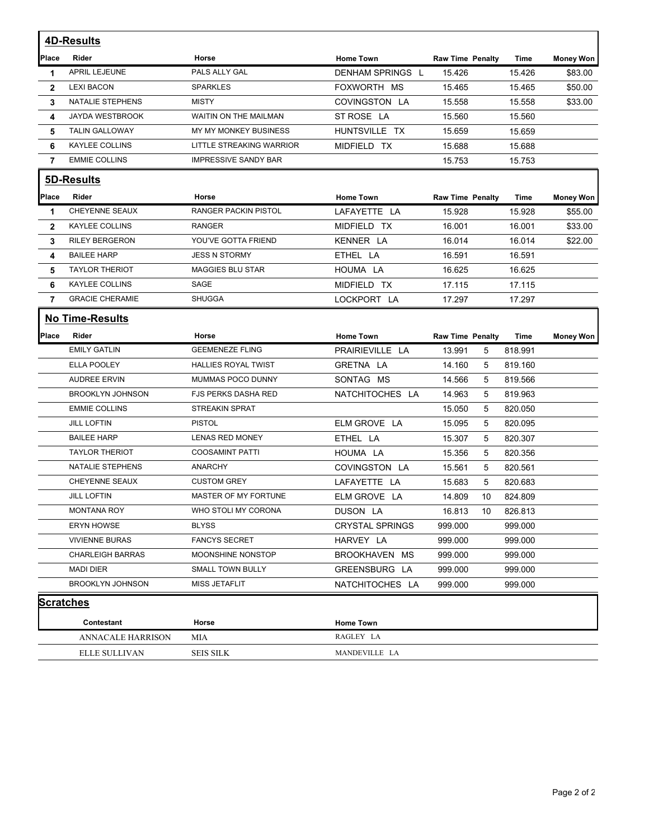|                | <b>4D-Results</b>        |                             |                         |                         |         |                  |
|----------------|--------------------------|-----------------------------|-------------------------|-------------------------|---------|------------------|
| Place          | Rider                    | Horse                       | <b>Home Town</b>        | <b>Raw Time Penalty</b> | Time    | <b>Money Won</b> |
| 1              | <b>APRIL LEJEUNE</b>     | PALS ALLY GAL               | <b>DENHAM SPRINGS L</b> | 15.426                  | 15.426  | \$83.00          |
| $\mathbf{2}$   | <b>LEXI BACON</b>        | <b>SPARKLES</b>             | FOXWORTH MS             | 15.465                  | 15.465  | \$50.00          |
| 3              | NATALIE STEPHENS         | <b>MISTY</b>                | COVINGSTON LA           | 15.558                  | 15.558  | \$33.00          |
| 4              | JAYDA WESTBROOK          | WAITIN ON THE MAILMAN       | ST ROSE LA              | 15.560                  | 15.560  |                  |
| 5              | <b>TALIN GALLOWAY</b>    | MY MY MONKEY BUSINESS       | HUNTSVILLE TX           | 15.659                  | 15.659  |                  |
| 6              | <b>KAYLEE COLLINS</b>    | LITTLE STREAKING WARRIOR    | MIDFIELD TX             | 15.688                  | 15.688  |                  |
| $\overline{7}$ | <b>EMMIE COLLINS</b>     | <b>IMPRESSIVE SANDY BAR</b> |                         | 15.753                  | 15.753  |                  |
|                | 5D-Results               |                             |                         |                         |         |                  |
| Place          | Rider                    | Horse                       | <b>Home Town</b>        | <b>Raw Time Penalty</b> | Time    | <b>Money Won</b> |
| 1              | <b>CHEYENNE SEAUX</b>    | <b>RANGER PACKIN PISTOL</b> | LAFAYETTE LA            | 15.928                  | 15.928  | \$55.00          |
| $\mathbf{2}$   | KAYLEE COLLINS           | <b>RANGER</b>               | MIDFIELD TX             | 16.001                  | 16.001  | \$33.00          |
| 3              | <b>RILEY BERGERON</b>    | YOU'VE GOTTA FRIEND         | KENNER LA               | 16.014                  | 16.014  | \$22.00          |
| 4              | <b>BAILEE HARP</b>       | <b>JESS N STORMY</b>        | ETHEL LA                | 16.591                  | 16.591  |                  |
| 5              | <b>TAYLOR THERIOT</b>    | <b>MAGGIES BLU STAR</b>     | HOUMA LA                | 16.625                  | 16.625  |                  |
| 6              | KAYLEE COLLINS           | SAGE                        | MIDFIELD TX             | 17.115                  | 17.115  |                  |
| $\overline{7}$ | <b>GRACIE CHERAMIE</b>   | SHUGGA                      | LOCKPORT LA             | 17.297                  | 17.297  |                  |
|                | <b>No Time-Results</b>   |                             |                         |                         |         |                  |
| Place          | Rider                    | Horse                       | <b>Home Town</b>        | <b>Raw Time Penalty</b> | Time    | <b>Money Won</b> |
|                | <b>EMILY GATLIN</b>      | <b>GEEMENEZE FLING</b>      | PRAIRIEVILLE LA         | 13.991<br>5             | 818.991 |                  |
|                | <b>ELLA POOLEY</b>       | <b>HALLIES ROYAL TWIST</b>  | GRETNA LA               | 5<br>14.160             | 819.160 |                  |
|                | <b>AUDREE ERVIN</b>      | MUMMAS POCO DUNNY           | SONTAG MS               | 5<br>14.566             | 819.566 |                  |
|                | <b>BROOKLYN JOHNSON</b>  | <b>FJS PERKS DASHA RED</b>  | NATCHITOCHES LA         | 14.963<br>5             | 819.963 |                  |
|                | <b>EMMIE COLLINS</b>     | <b>STREAKIN SPRAT</b>       |                         | 5<br>15.050             | 820.050 |                  |
|                | <b>JILL LOFTIN</b>       | <b>PISTOL</b>               | ELM GROVE LA            | 15.095<br>5             | 820.095 |                  |
|                | <b>BAILEE HARP</b>       | <b>LENAS RED MONEY</b>      | ETHEL LA                | 15.307<br>5             | 820.307 |                  |
|                | <b>TAYLOR THERIOT</b>    | <b>COOSAMINT PATTI</b>      | HOUMA LA                | 15.356<br>5             | 820.356 |                  |
|                | NATALIE STEPHENS         | <b>ANARCHY</b>              | COVINGSTON LA           | 5<br>15.561             | 820.561 |                  |
|                | CHEYENNE SEAUX           | <b>CUSTOM GREY</b>          | LAFAYETTE LA            | 15.683<br>5             | 820.683 |                  |
|                | <b>JILL LOFTIN</b>       | MASTER OF MY FORTUNE        | ELM GROVE LA            | 14.809<br>10            | 824.809 |                  |
|                | <b>MONTANA ROY</b>       | WHO STOLI MY CORONA         | DUSON LA                | 16.813<br>10            | 826.813 |                  |
|                | <b>ERYN HOWSE</b>        | <b>BLYSS</b>                | <b>CRYSTAL SPRINGS</b>  | 999.000                 | 999.000 |                  |
|                | <b>VIVIENNE BURAS</b>    | <b>FANCYS SECRET</b>        | HARVEY LA               | 999.000                 | 999.000 |                  |
|                | <b>CHARLEIGH BARRAS</b>  | MOONSHINE NONSTOP           | BROOKHAVEN<br>МS        | 999.000                 | 999.000 |                  |
|                | MADI DIER                | SMALL TOWN BULLY            | GREENSBURG LA           | 999.000                 | 999.000 |                  |
|                | <b>BROOKLYN JOHNSON</b>  | MISS JETAFLIT               | NATCHITOCHES LA         | 999.000                 | 999.000 |                  |
|                | <b>Scratches</b>         |                             |                         |                         |         |                  |
|                | Contestant               | Horse                       | <b>Home Town</b>        |                         |         |                  |
|                | <b>ANNACALE HARRISON</b> | MIA                         | RAGLEY LA               |                         |         |                  |
|                | ELLE SULLIVAN            | <b>SEIS SILK</b>            | MANDEVILLE LA           |                         |         |                  |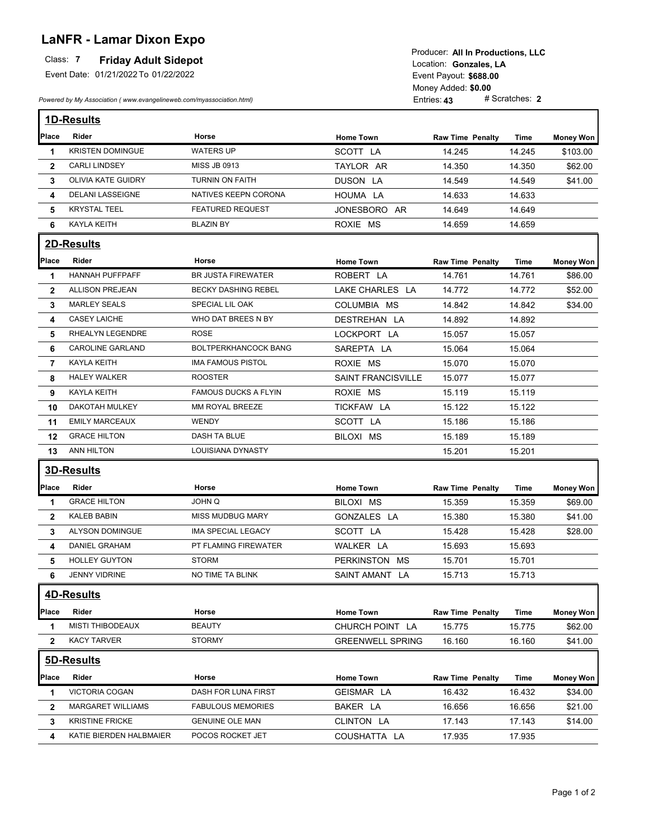# **LaNFR - Lamar Dixon Expo**

| Laith It Lamar Dixon Lipo<br>Class: 7<br><b>Friday Adult Sidepot</b><br>Event Date: 01/21/2022 To 01/22/2022<br>Powered by My Association (www.evangelineweb.com/myassociation.html) |                           |                             | Producer: All In Productions, LLC<br>Location: Gonzales. LA<br>Event Payout: \$688.00<br>Money Added: \$0.00<br># Scratches: 2<br>Entries: 43 |                         |        |                  |  |
|--------------------------------------------------------------------------------------------------------------------------------------------------------------------------------------|---------------------------|-----------------------------|-----------------------------------------------------------------------------------------------------------------------------------------------|-------------------------|--------|------------------|--|
|                                                                                                                                                                                      | <b>1D-Results</b>         |                             |                                                                                                                                               |                         |        |                  |  |
| Place                                                                                                                                                                                | <b>Rider</b>              | Horse                       | <b>Home Town</b>                                                                                                                              | <b>Raw Time Penalty</b> | Time   | Money Won        |  |
| 1                                                                                                                                                                                    | <b>KRISTEN DOMINGUE</b>   | <b>WATERS UP</b>            | SCOTT LA                                                                                                                                      | 14.245                  | 14.245 | \$103.00         |  |
| $\mathbf{2}$                                                                                                                                                                         | <b>CARLI LINDSEY</b>      | MISS JB 0913                | TAYLOR AR                                                                                                                                     | 14.350                  | 14.350 | \$62.00          |  |
| 3                                                                                                                                                                                    | <b>OLIVIA KATE GUIDRY</b> | TURNIN ON FAITH             | DUSON LA                                                                                                                                      | 14.549                  | 14.549 | \$41.00          |  |
| 4                                                                                                                                                                                    | <b>DELANI LASSEIGNE</b>   | NATIVES KEEPN CORONA        | HOUMA LA                                                                                                                                      | 14.633                  | 14.633 |                  |  |
| 5                                                                                                                                                                                    | <b>KRYSTAL TEEL</b>       | <b>FEATURED REQUEST</b>     | JONESBORO AR                                                                                                                                  | 14.649                  | 14.649 |                  |  |
| 6                                                                                                                                                                                    | <b>KAYLA KEITH</b>        | <b>BLAZIN BY</b>            | ROXIE MS                                                                                                                                      | 14.659                  | 14.659 |                  |  |
|                                                                                                                                                                                      | <b>2D-Results</b>         |                             |                                                                                                                                               |                         |        |                  |  |
| Place                                                                                                                                                                                | Rider                     | Horse                       | <b>Home Town</b>                                                                                                                              | <b>Raw Time Penalty</b> | Time   | <b>Money Won</b> |  |
| 1                                                                                                                                                                                    | <b>HANNAH PUFFPAFF</b>    | <b>BR JUSTA FIREWATER</b>   | ROBERT LA                                                                                                                                     | 14.761                  | 14.761 | \$86.00          |  |
| $\mathbf{2}$                                                                                                                                                                         | <b>ALLISON PREJEAN</b>    | <b>BECKY DASHING REBEL</b>  | LAKE CHARLES LA                                                                                                                               | 14.772                  | 14.772 | \$52.00          |  |
| 3                                                                                                                                                                                    | <b>MARLEY SEALS</b>       | SPECIAL LIL OAK             | COLUMBIA MS                                                                                                                                   | 14.842                  | 14.842 | \$34.00          |  |
| 4                                                                                                                                                                                    | <b>CASEY LAICHE</b>       | WHO DAT BREES N BY          | DESTREHAN LA                                                                                                                                  | 14.892                  | 14.892 |                  |  |
| 5                                                                                                                                                                                    | RHEALYN LEGENDRE          | <b>ROSE</b>                 | LOCKPORT LA                                                                                                                                   | 15.057                  | 15.057 |                  |  |
| 6                                                                                                                                                                                    | <b>CAROLINE GARLAND</b>   | <b>BOLTPERKHANCOCK BANG</b> | SAREPTA LA                                                                                                                                    | 15.064                  | 15.064 |                  |  |
| $\overline{7}$                                                                                                                                                                       | KAYLA KEITH               | <b>IMA FAMOUS PISTOL</b>    | ROXIE MS                                                                                                                                      | 15.070                  | 15.070 |                  |  |
| 8                                                                                                                                                                                    | <b>HALEY WALKER</b>       | <b>ROOSTER</b>              | SAINT FRANCISVILLE                                                                                                                            | 15.077                  | 15.077 |                  |  |
| 9                                                                                                                                                                                    | <b>KAYLA KEITH</b>        | <b>FAMOUS DUCKS A FLYIN</b> | ROXIE MS                                                                                                                                      | 15.119                  | 15.119 |                  |  |
| 10                                                                                                                                                                                   | DAKOTAH MULKEY            | MM ROYAL BREEZE             | TICKFAW LA                                                                                                                                    | 15.122                  | 15.122 |                  |  |
| 11                                                                                                                                                                                   | <b>EMILY MARCEAUX</b>     | <b>WENDY</b>                | SCOTT LA                                                                                                                                      | 15.186                  | 15.186 |                  |  |
| 12                                                                                                                                                                                   | <b>GRACE HILTON</b>       | DASH TA BLUE                | BILOXI MS                                                                                                                                     | 15.189                  | 15.189 |                  |  |
| 13                                                                                                                                                                                   | ANN HILTON                | LOUISIANA DYNASTY           |                                                                                                                                               | 15.201                  | 15.201 |                  |  |
|                                                                                                                                                                                      | <b>3D-Results</b>         |                             |                                                                                                                                               |                         |        |                  |  |
| Place                                                                                                                                                                                | Rider                     | Horse                       | <b>Home Town</b>                                                                                                                              | <b>Raw Time Penalty</b> | Time   | <b>Money Won</b> |  |
| 1                                                                                                                                                                                    | <b>GRACE HILTON</b>       | JOHN Q                      | BILOXI MS                                                                                                                                     | 15.359                  | 15.359 | \$69.00          |  |
| 2                                                                                                                                                                                    | KALEB BABIN               | MISS MUDBUG MARY            | GONZALES LA                                                                                                                                   | 15.380                  | 15.380 | \$41.00          |  |
| 3                                                                                                                                                                                    | ALYSON DOMINGUE           | IMA SPECIAL LEGACY          | SCOTT LA                                                                                                                                      | 15.428                  | 15.428 | \$28.00          |  |
| 4                                                                                                                                                                                    | DANIEL GRAHAM             | PT FLAMING FIREWATER        | WALKER LA                                                                                                                                     | 15.693                  | 15.693 |                  |  |
| 5                                                                                                                                                                                    | <b>HOLLEY GUYTON</b>      | <b>STORM</b>                | PERKINSTON MS                                                                                                                                 | 15.701                  | 15.701 |                  |  |
| 6                                                                                                                                                                                    | <b>JENNY VIDRINE</b>      | NO TIME TA BLINK            | SAINT AMANT LA                                                                                                                                | 15.713                  | 15.713 |                  |  |
|                                                                                                                                                                                      | <b>4D-Results</b>         |                             |                                                                                                                                               |                         |        |                  |  |
| Place                                                                                                                                                                                | Rider                     | Horse                       | <b>Home Town</b>                                                                                                                              | <b>Raw Time Penalty</b> | Time   | <b>Money Won</b> |  |
| 1                                                                                                                                                                                    | <b>MISTI THIBODEAUX</b>   | <b>BEAUTY</b>               | CHURCH POINT LA                                                                                                                               | 15.775                  | 15.775 | \$62.00          |  |
| $\overline{2}$                                                                                                                                                                       | <b>KACY TARVER</b>        | <b>STORMY</b>               | <b>GREENWELL SPRING</b>                                                                                                                       | 16.160                  | 16.160 | \$41.00          |  |
|                                                                                                                                                                                      | 5D-Results                |                             |                                                                                                                                               |                         |        |                  |  |
| Place                                                                                                                                                                                | Rider                     | Horse                       | <b>Home Town</b>                                                                                                                              | <b>Raw Time Penalty</b> | Time   | <b>Money Won</b> |  |
| 1                                                                                                                                                                                    | VICTORIA COGAN            | DASH FOR LUNA FIRST         | GEISMAR LA                                                                                                                                    | 16.432                  | 16.432 | \$34.00          |  |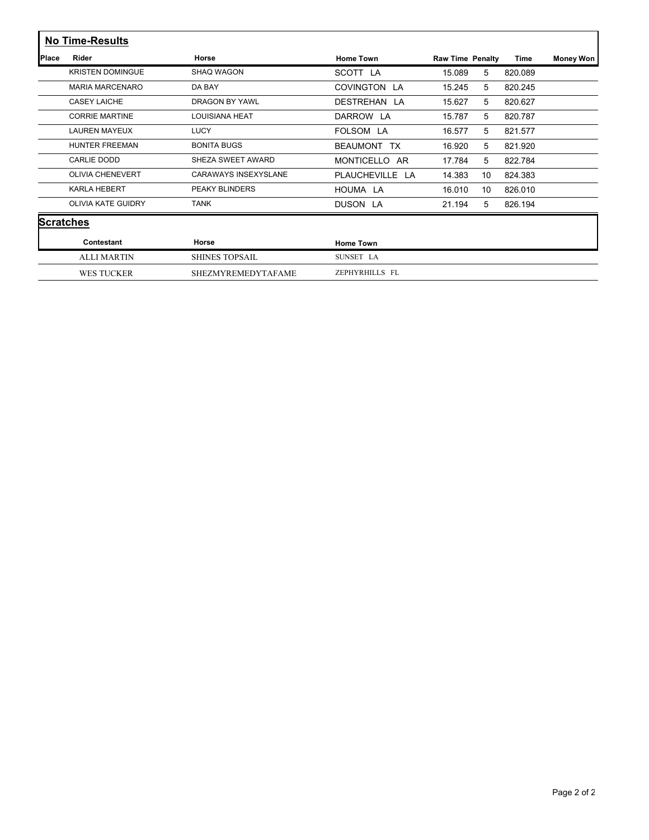|              | <b>No Time-Results</b>    |                       |                           |                         |    |             |                  |
|--------------|---------------------------|-----------------------|---------------------------|-------------------------|----|-------------|------------------|
| <b>Place</b> | Rider                     | Horse                 | <b>Home Town</b>          | <b>Raw Time Penalty</b> |    | <b>Time</b> | <b>Money Won</b> |
|              | <b>KRISTEN DOMINGUE</b>   | SHAO WAGON            | SCOTT LA                  | 15.089                  | 5  | 820.089     |                  |
|              | <b>MARIA MARCENARO</b>    | DA BAY                | COVINGTON LA              | 15.245                  | 5  | 820.245     |                  |
|              | <b>CASEY LAICHE</b>       | <b>DRAGON BY YAWL</b> | DESTREHAN<br>LA           | 15.627                  | 5  | 820.627     |                  |
|              | <b>CORRIE MARTINE</b>     | <b>LOUISIANA HEAT</b> | DARROW LA                 | 15.787                  | 5  | 820.787     |                  |
|              | <b>LAUREN MAYEUX</b>      | <b>LUCY</b>           | FOLSOM LA                 | 16.577                  | 5  | 821.577     |                  |
|              | <b>HUNTER FREEMAN</b>     | <b>BONITA BUGS</b>    | BEAUMONT TX               | 16.920                  | 5  | 821.920     |                  |
|              | CARLIE DODD               | SHEZA SWEET AWARD     | <b>MONTICELLO</b><br>AR.  | 17.784                  | 5  | 822.784     |                  |
|              | <b>OLIVIA CHENEVERT</b>   | CARAWAYS INSEXYSLANE  | <b>PLAUCHEVILLE</b><br>LA | 14.383                  | 10 | 824.383     |                  |
|              | <b>KARLA HEBERT</b>       | <b>PEAKY BLINDERS</b> | HOUMA LA                  | 16.010                  | 10 | 826.010     |                  |
|              | <b>OLIVIA KATE GUIDRY</b> | <b>TANK</b>           | DUSON LA                  | 21.194                  | 5  | 826.194     |                  |
|              | <b>Scratches</b>          |                       |                           |                         |    |             |                  |
|              | Contestant                | Horse                 | <b>Home Town</b>          |                         |    |             |                  |
|              | <b>ALLI MARTIN</b>        | <b>SHINES TOPSAIL</b> | SUNSET LA                 |                         |    |             |                  |
|              | <b>WES TUCKER</b>         | SHEZMYREMEDYTAFAME    | ZEPHYRHILLS FL            |                         |    |             |                  |